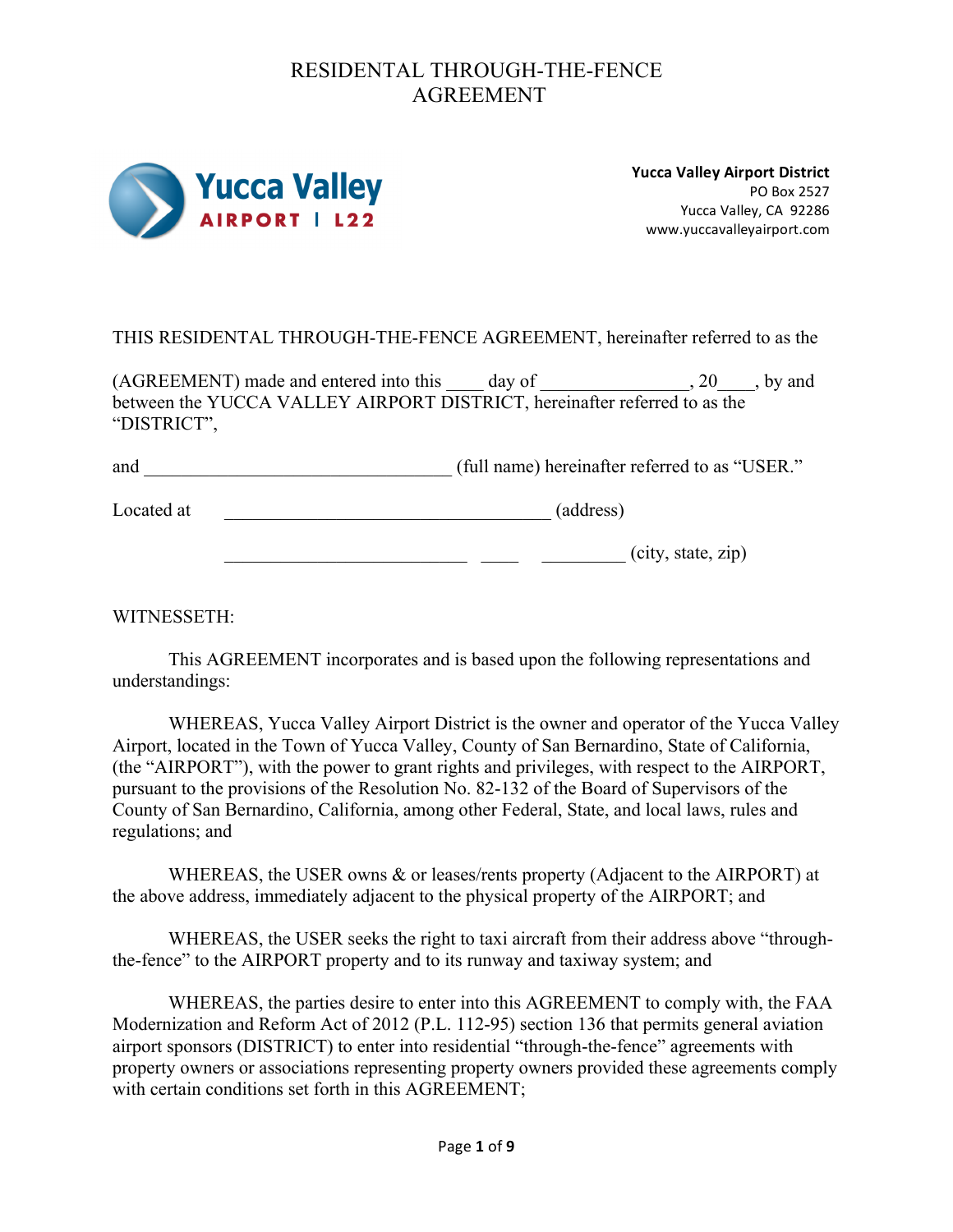

**Yucca Valley Airport District** PO Box 2527 Yucca Valley, CA 92286 www.yuccavalleyairport.com

THIS RESIDENTAL THROUGH-THE-FENCE AGREEMENT, hereinafter referred to as the

(AGREEMENT) made and entered into this \_\_\_\_ day of \_\_\_\_\_\_\_\_\_\_\_\_\_\_, 20\_\_\_\_, by and between the YUCCA VALLEY AIRPORT DISTRICT, hereinafter referred to as the "DISTRICT",

| and | (full name) hereinafter referred to as "USER." |  |
|-----|------------------------------------------------|--|
|     |                                                |  |

Located at \_\_\_\_\_\_\_\_\_\_\_\_\_\_\_\_\_\_\_\_\_\_\_\_\_\_\_\_\_\_\_\_\_\_\_ (address)

 $\frac{1}{\sqrt{1-\frac{1}{2}}}\frac{1}{\sqrt{1-\frac{1}{2}}}\frac{1}{\sqrt{1-\frac{1}{2}}}\frac{1}{\sqrt{1-\frac{1}{2}}}\frac{1}{\sqrt{1-\frac{1}{2}}}\frac{1}{\sqrt{1-\frac{1}{2}}}\frac{1}{\sqrt{1-\frac{1}{2}}}\frac{1}{\sqrt{1-\frac{1}{2}}}\frac{1}{\sqrt{1-\frac{1}{2}}}\frac{1}{\sqrt{1-\frac{1}{2}}}\frac{1}{\sqrt{1-\frac{1}{2}}}\frac{1}{\sqrt{1-\frac{1}{2}}}\frac{1}{\sqrt{1-\frac{1}{2}}}\frac{1}{\sqrt{1-\frac{$ 

WITNESSETH:

This AGREEMENT incorporates and is based upon the following representations and understandings:

WHEREAS, Yucca Valley Airport District is the owner and operator of the Yucca Valley Airport, located in the Town of Yucca Valley, County of San Bernardino, State of California, (the "AIRPORT"), with the power to grant rights and privileges, with respect to the AIRPORT, pursuant to the provisions of the Resolution No. 82-132 of the Board of Supervisors of the County of San Bernardino, California, among other Federal, State, and local laws, rules and regulations; and

WHEREAS, the USER owns & or leases/rents property (Adjacent to the AIRPORT) at the above address, immediately adjacent to the physical property of the AIRPORT; and

WHEREAS, the USER seeks the right to taxi aircraft from their address above "throughthe-fence" to the AIRPORT property and to its runway and taxiway system; and

WHEREAS, the parties desire to enter into this AGREEMENT to comply with, the FAA Modernization and Reform Act of 2012 (P.L. 112-95) section 136 that permits general aviation airport sponsors (DISTRICT) to enter into residential "through-the-fence" agreements with property owners or associations representing property owners provided these agreements comply with certain conditions set forth in this AGREEMENT: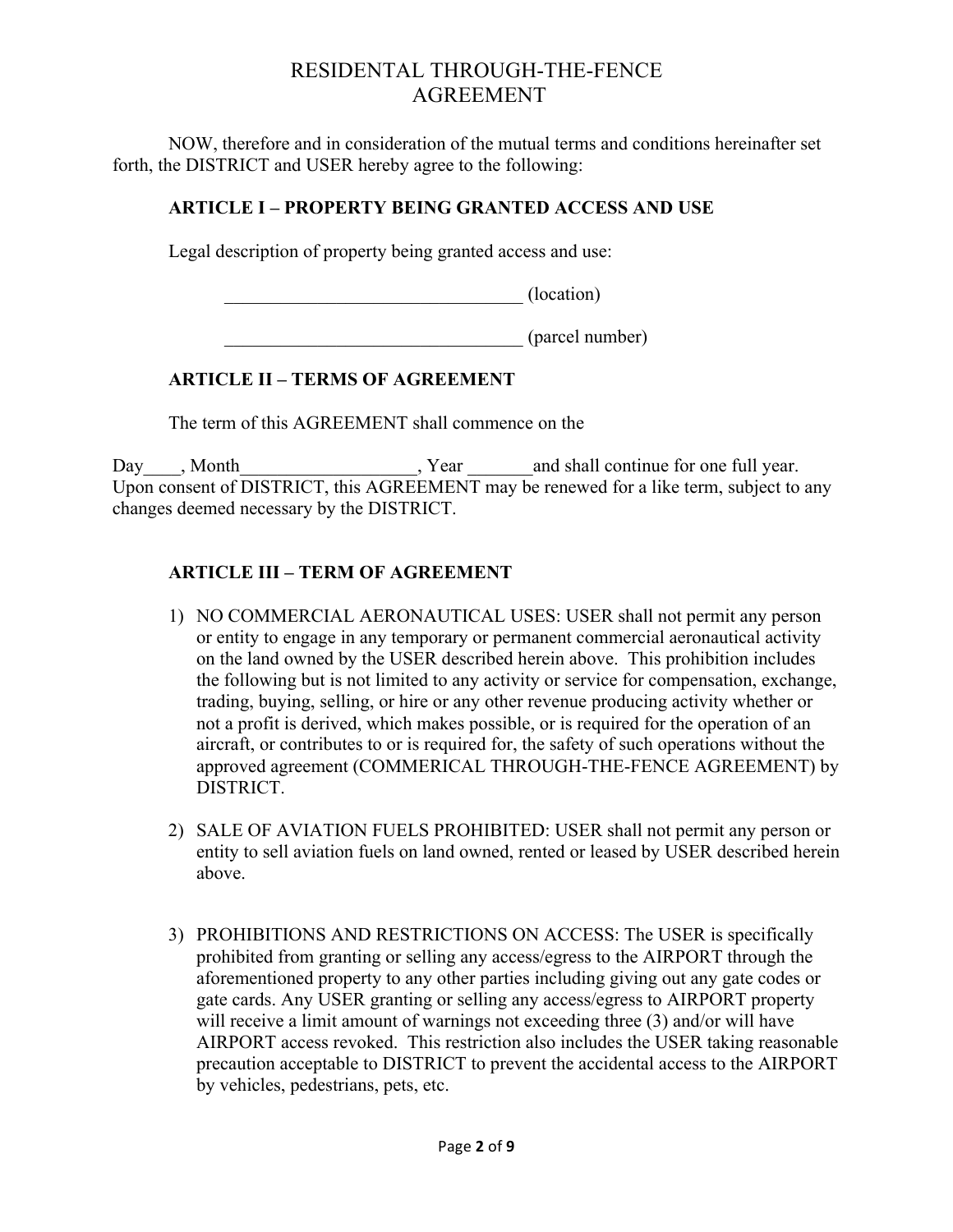NOW, therefore and in consideration of the mutual terms and conditions hereinafter set forth, the DISTRICT and USER hereby agree to the following:

#### **ARTICLE I – PROPERTY BEING GRANTED ACCESS AND USE**

Legal description of property being granted access and use:

 $\overline{\phantom{a}}$  (location)

\_\_\_\_\_\_\_\_\_\_\_\_\_\_\_\_\_\_\_\_\_\_\_\_\_\_\_\_\_\_\_\_ (parcel number)

### **ARTICLE II – TERMS OF AGREEMENT**

The term of this AGREEMENT shall commence on the

Day Month Next, Year and shall continue for one full year. Upon consent of DISTRICT, this AGREEMENT may be renewed for a like term, subject to any changes deemed necessary by the DISTRICT.

### **ARTICLE III – TERM OF AGREEMENT**

- 1) NO COMMERCIAL AERONAUTICAL USES: USER shall not permit any person or entity to engage in any temporary or permanent commercial aeronautical activity on the land owned by the USER described herein above. This prohibition includes the following but is not limited to any activity or service for compensation, exchange, trading, buying, selling, or hire or any other revenue producing activity whether or not a profit is derived, which makes possible, or is required for the operation of an aircraft, or contributes to or is required for, the safety of such operations without the approved agreement (COMMERICAL THROUGH-THE-FENCE AGREEMENT) by DISTRICT.
- 2) SALE OF AVIATION FUELS PROHIBITED: USER shall not permit any person or entity to sell aviation fuels on land owned, rented or leased by USER described herein above.
- 3) PROHIBITIONS AND RESTRICTIONS ON ACCESS: The USER is specifically prohibited from granting or selling any access/egress to the AIRPORT through the aforementioned property to any other parties including giving out any gate codes or gate cards. Any USER granting or selling any access/egress to AIRPORT property will receive a limit amount of warnings not exceeding three (3) and/or will have AIRPORT access revoked. This restriction also includes the USER taking reasonable precaution acceptable to DISTRICT to prevent the accidental access to the AIRPORT by vehicles, pedestrians, pets, etc.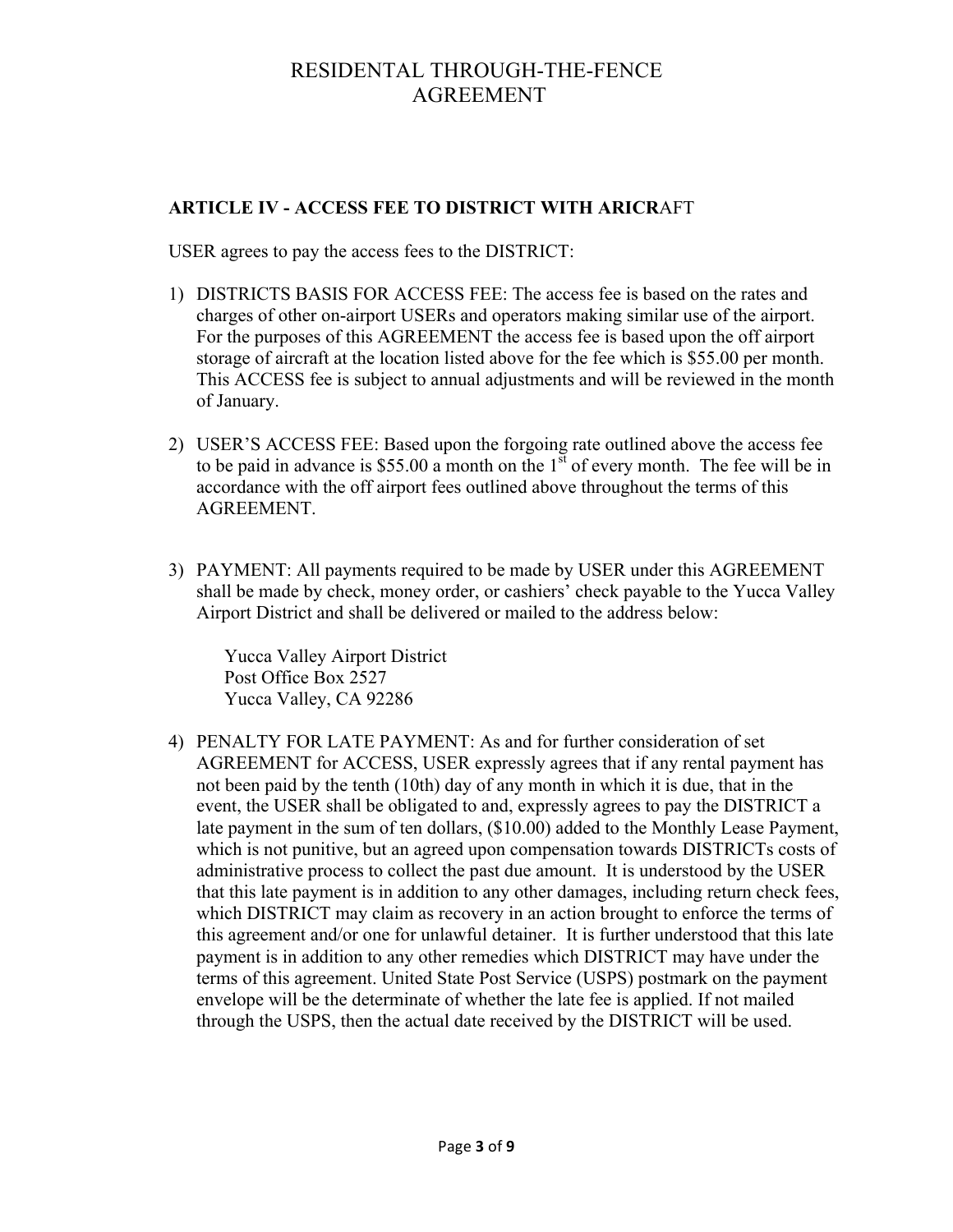### **ARTICLE IV - ACCESS FEE TO DISTRICT WITH ARICR**AFT

USER agrees to pay the access fees to the DISTRICT:

- 1) DISTRICTS BASIS FOR ACCESS FEE: The access fee is based on the rates and charges of other on-airport USERs and operators making similar use of the airport. For the purposes of this AGREEMENT the access fee is based upon the off airport storage of aircraft at the location listed above for the fee which is \$55.00 per month. This ACCESS fee is subject to annual adjustments and will be reviewed in the month of January.
- 2) USER'S ACCESS FEE: Based upon the forgoing rate outlined above the access fee to be paid in advance is \$55.00 a month on the  $1<sup>st</sup>$  of every month. The fee will be in accordance with the off airport fees outlined above throughout the terms of this **AGREEMENT**
- 3) PAYMENT: All payments required to be made by USER under this AGREEMENT shall be made by check, money order, or cashiers' check payable to the Yucca Valley Airport District and shall be delivered or mailed to the address below:

Yucca Valley Airport District Post Office Box 2527 Yucca Valley, CA 92286

4) PENALTY FOR LATE PAYMENT: As and for further consideration of set AGREEMENT for ACCESS, USER expressly agrees that if any rental payment has not been paid by the tenth (10th) day of any month in which it is due, that in the event, the USER shall be obligated to and, expressly agrees to pay the DISTRICT a late payment in the sum of ten dollars, (\$10.00) added to the Monthly Lease Payment, which is not punitive, but an agreed upon compensation towards DISTRICTs costs of administrative process to collect the past due amount. It is understood by the USER that this late payment is in addition to any other damages, including return check fees, which DISTRICT may claim as recovery in an action brought to enforce the terms of this agreement and/or one for unlawful detainer. It is further understood that this late payment is in addition to any other remedies which DISTRICT may have under the terms of this agreement. United State Post Service (USPS) postmark on the payment envelope will be the determinate of whether the late fee is applied. If not mailed through the USPS, then the actual date received by the DISTRICT will be used.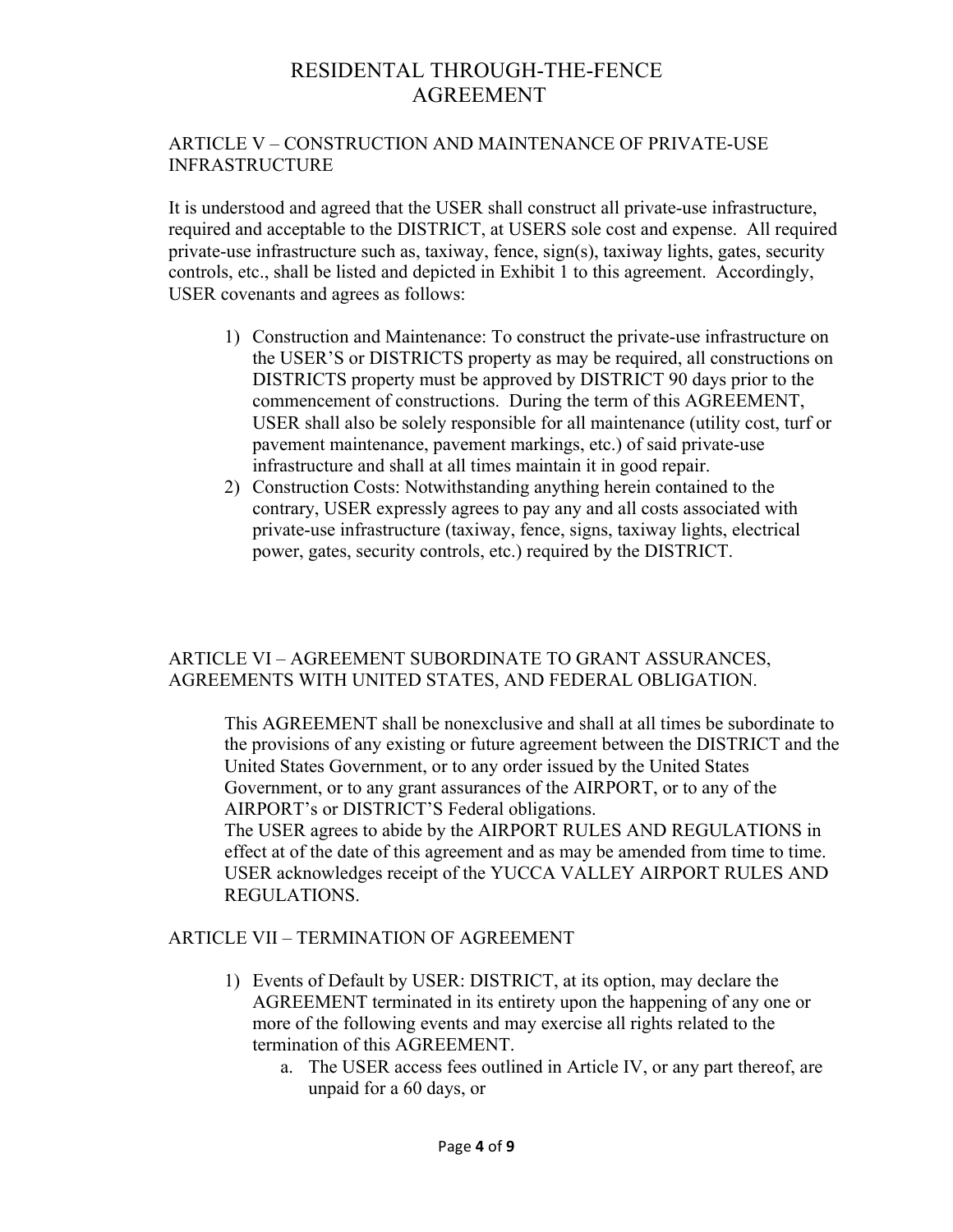#### ARTICLE V – CONSTRUCTION AND MAINTENANCE OF PRIVATE-USE INFRASTRUCTURE

It is understood and agreed that the USER shall construct all private-use infrastructure, required and acceptable to the DISTRICT, at USERS sole cost and expense. All required private-use infrastructure such as, taxiway, fence, sign(s), taxiway lights, gates, security controls, etc., shall be listed and depicted in Exhibit 1 to this agreement. Accordingly, USER covenants and agrees as follows:

- 1) Construction and Maintenance: To construct the private-use infrastructure on the USER'S or DISTRICTS property as may be required, all constructions on DISTRICTS property must be approved by DISTRICT 90 days prior to the commencement of constructions. During the term of this AGREEMENT, USER shall also be solely responsible for all maintenance (utility cost, turf or pavement maintenance, pavement markings, etc.) of said private-use infrastructure and shall at all times maintain it in good repair.
- 2) Construction Costs: Notwithstanding anything herein contained to the contrary, USER expressly agrees to pay any and all costs associated with private-use infrastructure (taxiway, fence, signs, taxiway lights, electrical power, gates, security controls, etc.) required by the DISTRICT.

#### ARTICLE VI – AGREEMENT SUBORDINATE TO GRANT ASSURANCES, AGREEMENTS WITH UNITED STATES, AND FEDERAL OBLIGATION.

This AGREEMENT shall be nonexclusive and shall at all times be subordinate to the provisions of any existing or future agreement between the DISTRICT and the United States Government, or to any order issued by the United States Government, or to any grant assurances of the AIRPORT, or to any of the AIRPORT's or DISTRICT'S Federal obligations.

The USER agrees to abide by the AIRPORT RULES AND REGULATIONS in effect at of the date of this agreement and as may be amended from time to time. USER acknowledges receipt of the YUCCA VALLEY AIRPORT RULES AND REGULATIONS.

#### ARTICLE VII – TERMINATION OF AGREEMENT

- 1) Events of Default by USER: DISTRICT, at its option, may declare the AGREEMENT terminated in its entirety upon the happening of any one or more of the following events and may exercise all rights related to the termination of this AGREEMENT.
	- a. The USER access fees outlined in Article IV, or any part thereof, are unpaid for a 60 days, or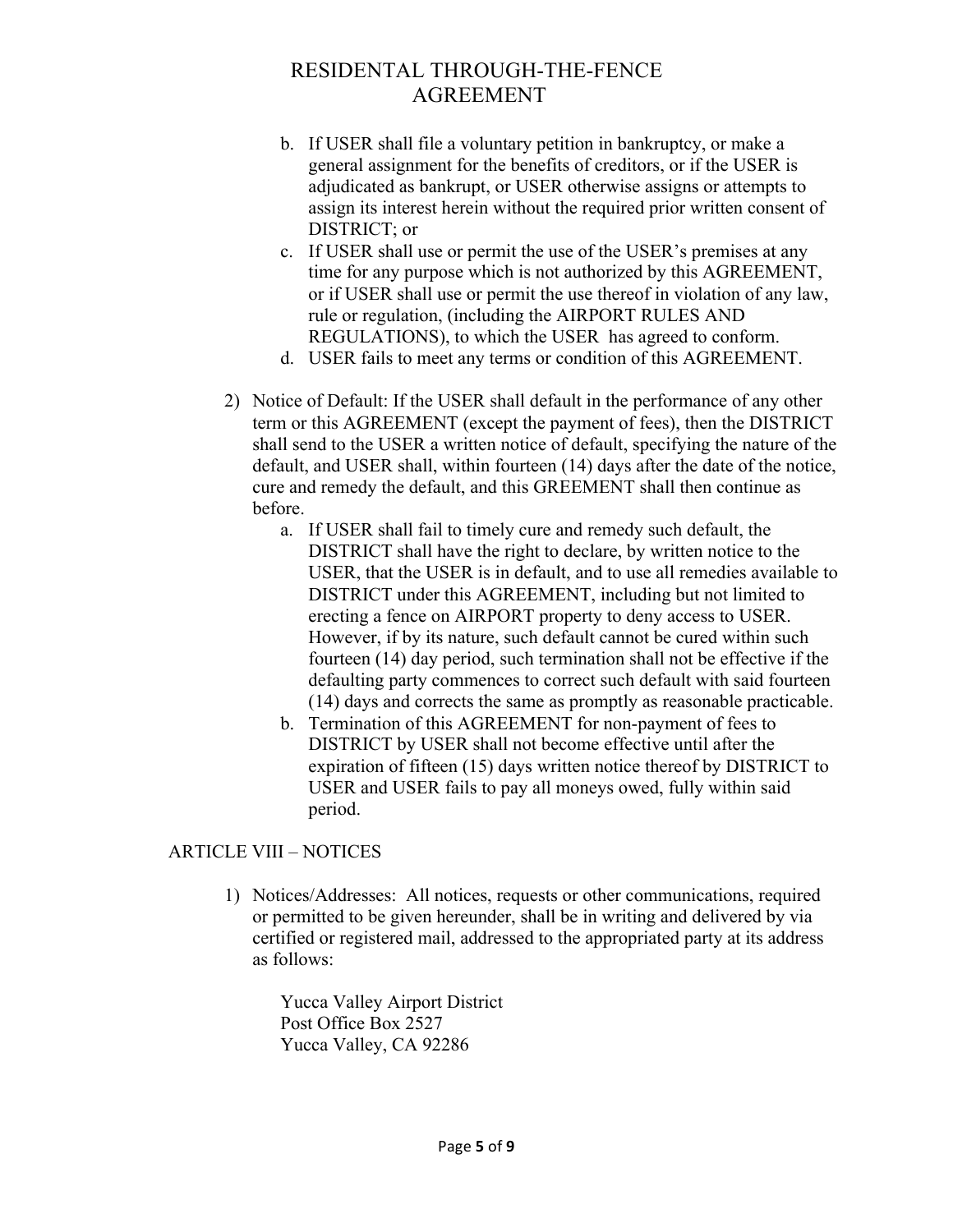- b. If USER shall file a voluntary petition in bankruptcy, or make a general assignment for the benefits of creditors, or if the USER is adjudicated as bankrupt, or USER otherwise assigns or attempts to assign its interest herein without the required prior written consent of DISTRICT; or
- c. If USER shall use or permit the use of the USER's premises at any time for any purpose which is not authorized by this AGREEMENT, or if USER shall use or permit the use thereof in violation of any law, rule or regulation, (including the AIRPORT RULES AND REGULATIONS), to which the USER has agreed to conform.
- d. USER fails to meet any terms or condition of this AGREEMENT.
- 2) Notice of Default: If the USER shall default in the performance of any other term or this AGREEMENT (except the payment of fees), then the DISTRICT shall send to the USER a written notice of default, specifying the nature of the default, and USER shall, within fourteen (14) days after the date of the notice, cure and remedy the default, and this GREEMENT shall then continue as before.
	- a. If USER shall fail to timely cure and remedy such default, the DISTRICT shall have the right to declare, by written notice to the USER, that the USER is in default, and to use all remedies available to DISTRICT under this AGREEMENT, including but not limited to erecting a fence on AIRPORT property to deny access to USER. However, if by its nature, such default cannot be cured within such fourteen (14) day period, such termination shall not be effective if the defaulting party commences to correct such default with said fourteen (14) days and corrects the same as promptly as reasonable practicable.
	- b. Termination of this AGREEMENT for non-payment of fees to DISTRICT by USER shall not become effective until after the expiration of fifteen (15) days written notice thereof by DISTRICT to USER and USER fails to pay all moneys owed, fully within said period.

#### ARTICLE VIII – NOTICES

1) Notices/Addresses: All notices, requests or other communications, required or permitted to be given hereunder, shall be in writing and delivered by via certified or registered mail, addressed to the appropriated party at its address as follows:

Yucca Valley Airport District Post Office Box 2527 Yucca Valley, CA 92286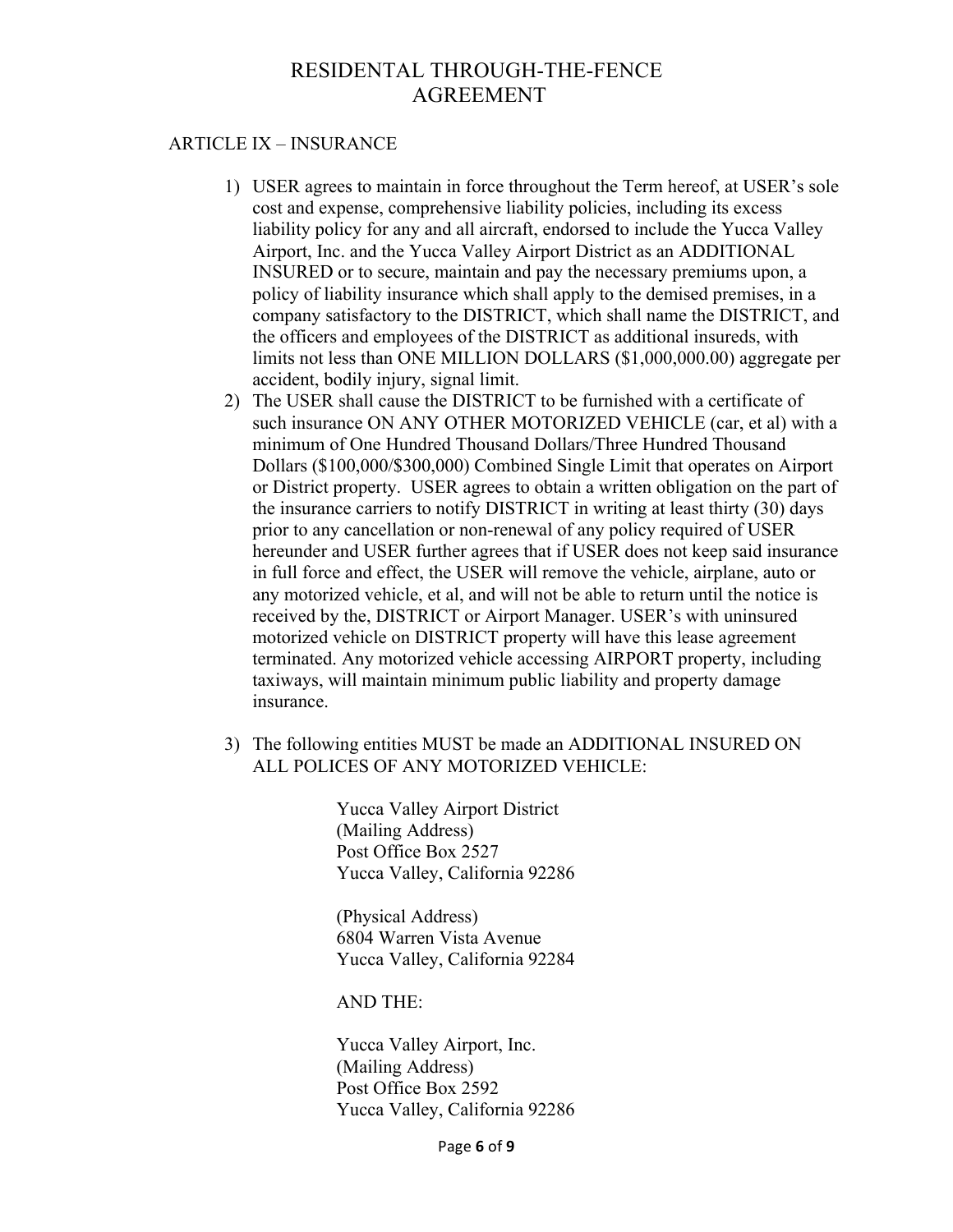#### ARTICLE IX – INSURANCE

- 1) USER agrees to maintain in force throughout the Term hereof, at USER's sole cost and expense, comprehensive liability policies, including its excess liability policy for any and all aircraft, endorsed to include the Yucca Valley Airport, Inc. and the Yucca Valley Airport District as an ADDITIONAL INSURED or to secure, maintain and pay the necessary premiums upon, a policy of liability insurance which shall apply to the demised premises, in a company satisfactory to the DISTRICT, which shall name the DISTRICT, and the officers and employees of the DISTRICT as additional insureds, with limits not less than ONE MILLION DOLLARS (\$1,000,000.00) aggregate per accident, bodily injury, signal limit.
- 2) The USER shall cause the DISTRICT to be furnished with a certificate of such insurance ON ANY OTHER MOTORIZED VEHICLE (car, et al) with a minimum of One Hundred Thousand Dollars/Three Hundred Thousand Dollars (\$100,000/\$300,000) Combined Single Limit that operates on Airport or District property. USER agrees to obtain a written obligation on the part of the insurance carriers to notify DISTRICT in writing at least thirty (30) days prior to any cancellation or non-renewal of any policy required of USER hereunder and USER further agrees that if USER does not keep said insurance in full force and effect, the USER will remove the vehicle, airplane, auto or any motorized vehicle, et al, and will not be able to return until the notice is received by the, DISTRICT or Airport Manager. USER's with uninsured motorized vehicle on DISTRICT property will have this lease agreement terminated. Any motorized vehicle accessing AIRPORT property, including taxiways, will maintain minimum public liability and property damage insurance.
- 3) The following entities MUST be made an ADDITIONAL INSURED ON ALL POLICES OF ANY MOTORIZED VEHICLE:

Yucca Valley Airport District (Mailing Address) Post Office Box 2527 Yucca Valley, California 92286

(Physical Address) 6804 Warren Vista Avenue Yucca Valley, California 92284

AND THE:

Yucca Valley Airport, Inc. (Mailing Address) Post Office Box 2592 Yucca Valley, California 92286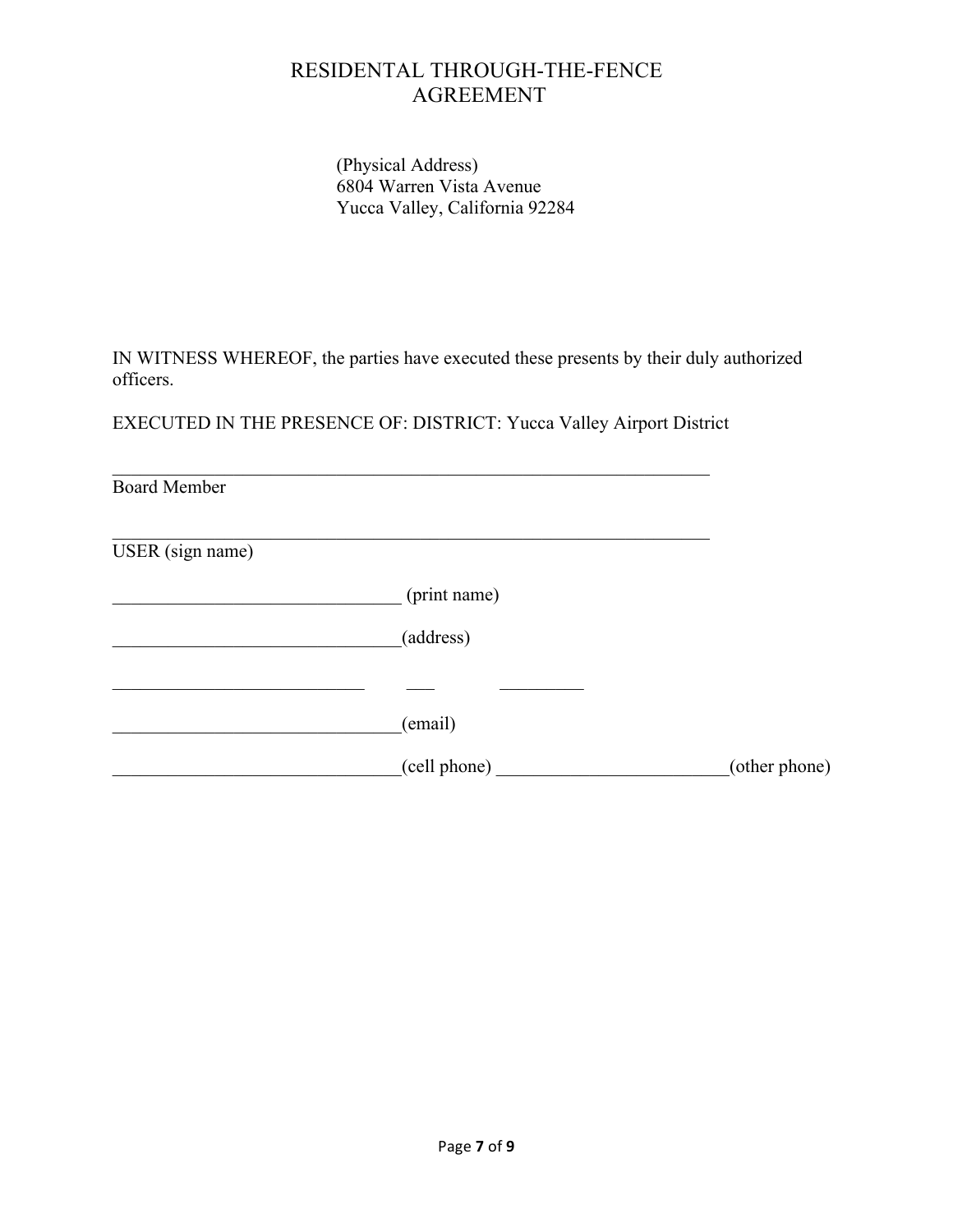(Physical Address) 6804 Warren Vista Avenue Yucca Valley, California 92284

IN WITNESS WHEREOF, the parties have executed these presents by their duly authorized officers.

EXECUTED IN THE PRESENCE OF: DISTRICT: Yucca Valley Airport District

 $\mathcal{L}_\text{max}$  , and the contribution of the contribution of the contribution of the contribution of the contribution of the contribution of the contribution of the contribution of the contribution of the contribution of t

Board Member  $\mathcal{L}_\text{max}$  , and the contribution of the contribution of the contribution of the contribution of the contribution of the contribution of the contribution of the contribution of the contribution of the contribution of t USER (sign name) \_\_\_\_\_\_\_\_\_\_\_\_\_\_\_\_\_\_\_\_\_\_\_\_\_\_\_\_\_\_\_ (print name)  $(address)$  $\frac{\frac{1}{2} \left( \frac{1}{2} \right) \left( \frac{1}{2} \right) \left( \frac{1}{2} \right) \left( \frac{1}{2} \right) \left( \frac{1}{2} \right) \left( \frac{1}{2} \right) \left( \frac{1}{2} \right) \left( \frac{1}{2} \right) \left( \frac{1}{2} \right) \left( \frac{1}{2} \right) \left( \frac{1}{2} \right) \left( \frac{1}{2} \right) \left( \frac{1}{2} \right) \left( \frac{1}{2} \right) \left( \frac{1}{2} \right) \left( \frac{1}{2} \right) \left($ \_\_\_\_\_\_\_\_\_\_\_\_\_\_\_\_\_\_\_\_\_\_\_\_\_\_\_\_\_\_\_(email) \_\_\_\_\_\_\_\_\_\_\_\_\_\_\_\_\_\_\_\_\_\_\_\_\_\_\_\_\_\_\_(cell phone) \_\_\_\_\_\_\_\_\_\_\_\_\_\_\_\_\_\_\_\_\_\_\_\_\_(other phone)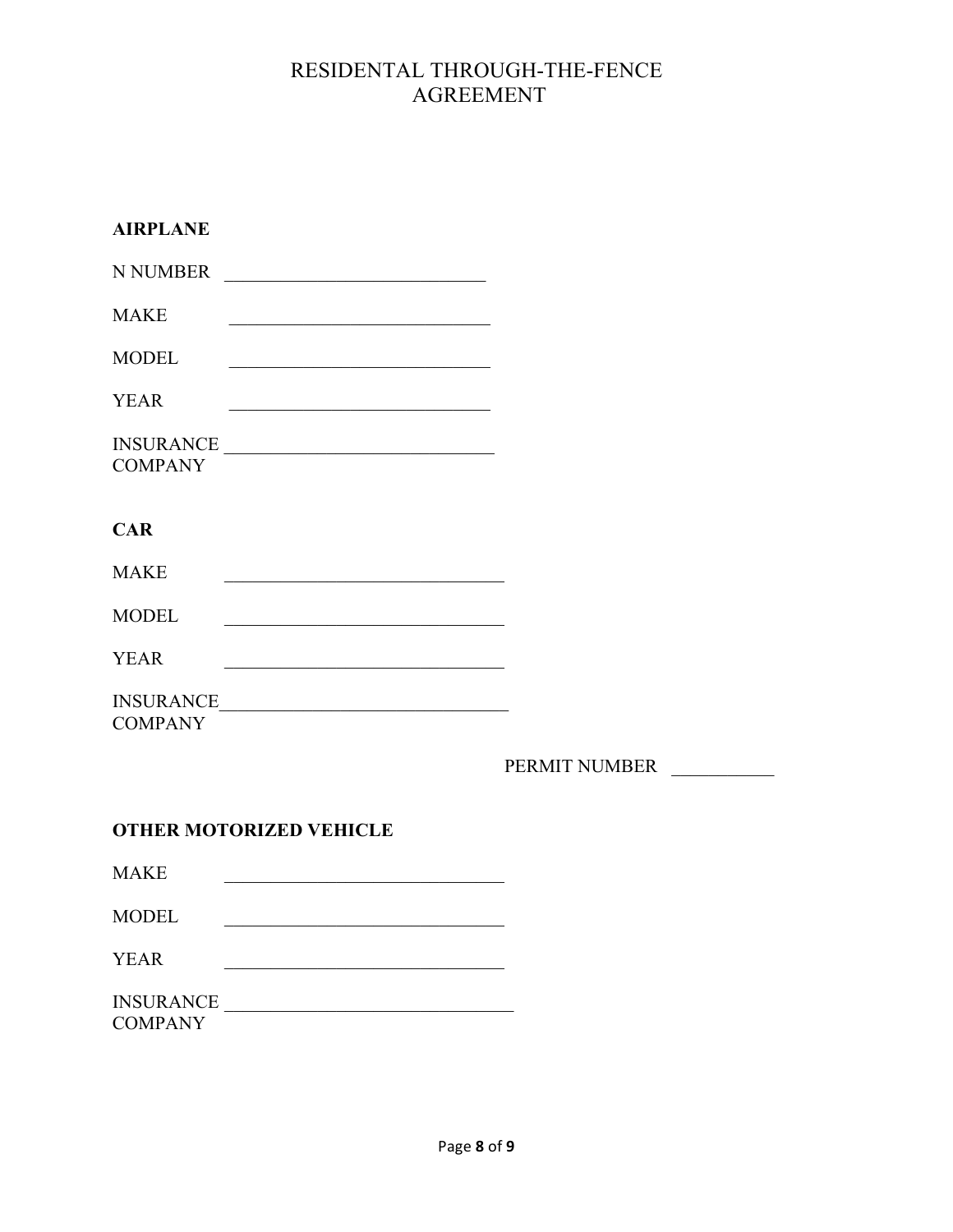| <b>AIRPLANE</b>                                                                                                                    |               |
|------------------------------------------------------------------------------------------------------------------------------------|---------------|
| N NUMBER<br><u> 1989 - Johann John Stein, mars ar breist fan de Amerikaanske kommunister (</u>                                     |               |
| <b>MAKE</b><br><u> 1989 - Johann John Stein, mars eta biztanleria (</u>                                                            |               |
| <b>MODEL</b>                                                                                                                       |               |
| <b>YEAR</b><br><u> 1989 - Johann Barn, mars ann an t-Amhain an t-Amhain an t-Amhain an t-Amhain an t-Amhain an t-Amhain an t-A</u> |               |
| INSURANCE<br><b>COMPANY</b>                                                                                                        |               |
| <b>CAR</b>                                                                                                                         |               |
| <b>MAKE</b><br>the control of the control of the control of the control of the control of the control of                           |               |
| <b>MODEL</b>                                                                                                                       |               |
| <b>YEAR</b><br>the control of the control of the control of the control of the control of the control of                           |               |
| <b>INSURANCE</b><br><u> 1980 - Andrea Andrew Maria (h. 1980).</u><br><b>COMPANY</b>                                                |               |
|                                                                                                                                    | PERMIT NUMBER |

### **OTHER MOTORIZED VEHICLE**

MAKE \_\_\_\_\_\_\_\_\_\_\_\_\_\_\_\_\_\_\_\_\_\_\_\_\_\_\_\_\_\_

MODEL \_\_\_\_\_\_\_\_\_\_\_\_\_\_\_\_\_\_\_\_\_\_\_\_\_\_\_\_\_\_

YEAR \_\_\_\_\_\_\_\_\_\_\_\_\_\_\_\_\_\_\_\_\_\_\_\_\_\_\_\_\_\_

INSURANCE \_\_\_\_\_\_\_\_\_\_\_\_\_\_\_\_\_\_\_\_\_\_\_\_\_\_\_\_\_\_\_ **COMPANY**